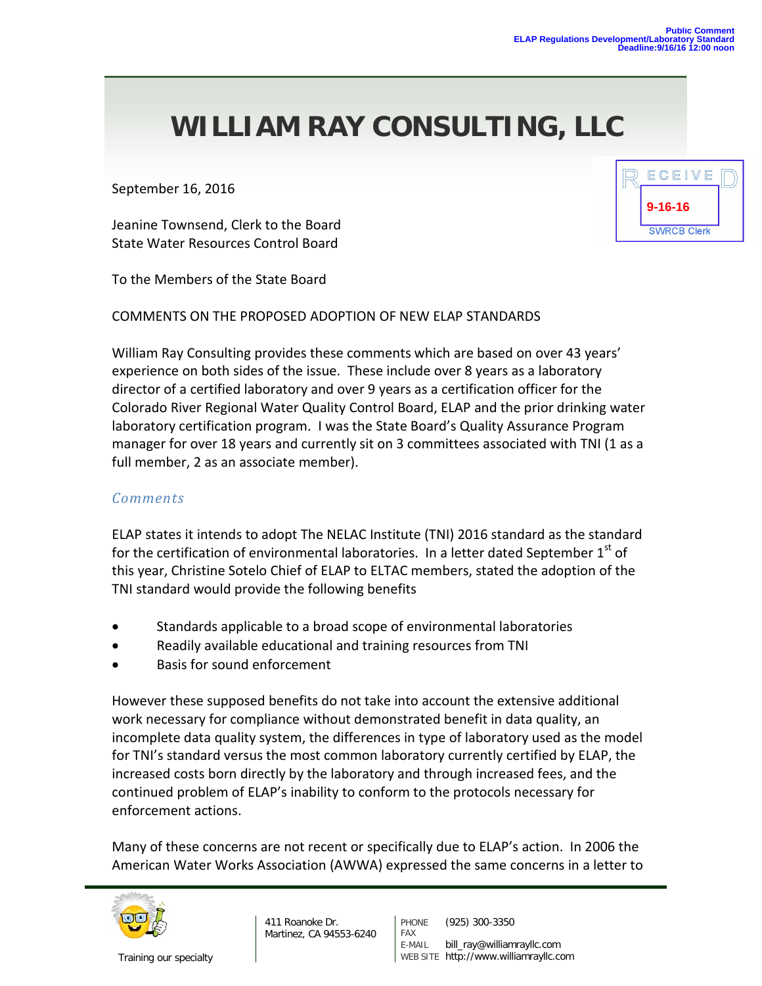September 16, 2016

Jeanine Townsend, Clerk to the Board State Water Resources Control Board

To the Members of the State Board

COMMENTS ON THE PROPOSED ADOPTION OF NEW ELAP STANDARDS

William Ray Consulting provides these comments which are based on over 43 years' experience on both sides of the issue. These include over 8 years as a laboratory director of a certified laboratory and over 9 years as a certification officer for the Colorado River Regional Water Quality Control Board, ELAP and the prior drinking water laboratory certification program. I was the State Board's Quality Assurance Program manager for over 18 years and currently sit on 3 committees associated with TNI (1 as a full member, 2 as an associate member).

#### *Comments*

ELAP states it intends to adopt The NELAC Institute (TNI) 2016 standard as the standard for the certification of environmental laboratories. In a letter dated September  $1^{st}$  of this year, Christine Sotelo Chief of ELAP to ELTAC members, stated the adoption of the TNI standard would provide the following benefits

- Standards applicable to a broad scope of environmental laboratories
- Readily available educational and training resources from TNI
- Basis for sound enforcement

However these supposed benefits do not take into account the extensive additional work necessary for compliance without demonstrated benefit in data quality, an incomplete data quality system, the differences in type of laboratory used as the model for TNI's standard versus the most common laboratory currently certified by ELAP, the increased costs born directly by the laboratory and through increased fees, and the continued problem of ELAP's inability to conform to the protocols necessary for enforcement actions.

Many of these concerns are not recent or specifically due to ELAP's action. In 2006 the American Water Works Association (AWWA) expressed the same concerns in a letter to



411 Roanoke Dr. Martinez, CA 94553-6240

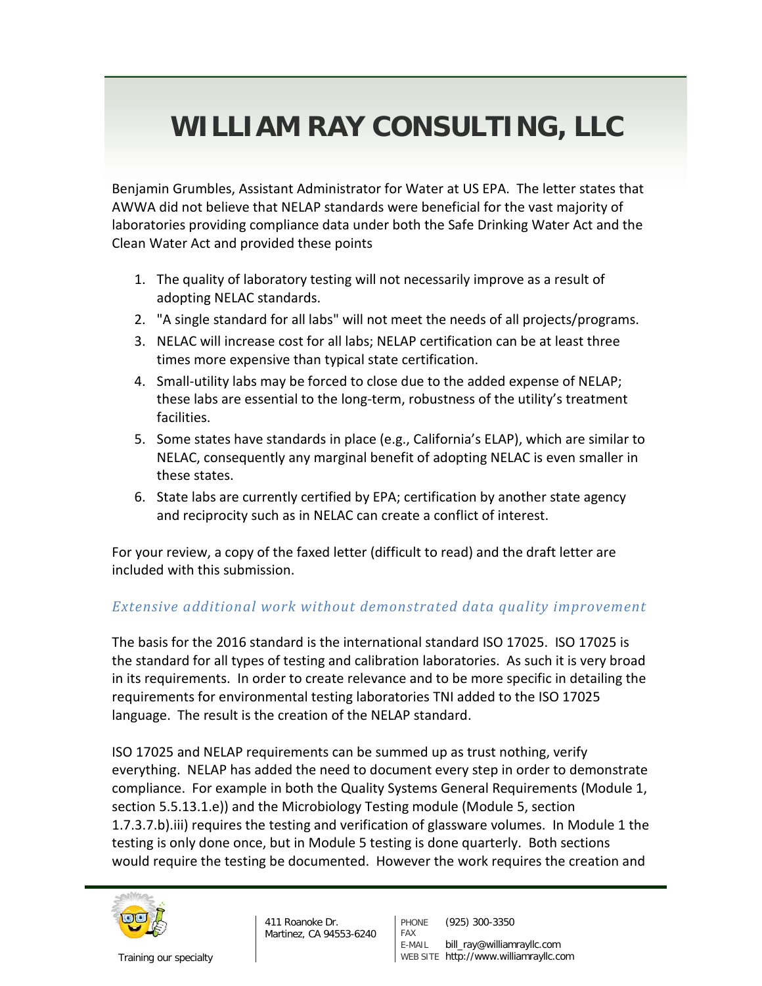Benjamin Grumbles, Assistant Administrator for Water at US EPA. The letter states that AWWA did not believe that NELAP standards were beneficial for the vast majority of laboratories providing compliance data under both the Safe Drinking Water Act and the Clean Water Act and provided these points

- 1. The quality of laboratory testing will not necessarily improve as a result of adopting NELAC standards.
- 2. "A single standard for all labs" will not meet the needs of all projects/programs.
- 3. NELAC will increase cost for all labs; NELAP certification can be at least three times more expensive than typical state certification.
- 4. Small-utility labs may be forced to close due to the added expense of NELAP; these labs are essential to the long-term, robustness of the utility's treatment facilities.
- 5. Some states have standards in place (e.g., California's ELAP), which are similar to NELAC, consequently any marginal benefit of adopting NELAC is even smaller in these states.
- 6. State labs are currently certified by EPA; certification by another state agency and reciprocity such as in NELAC can create a conflict of interest.

For your review, a copy of the faxed letter (difficult to read) and the draft letter are included with this submission.

### *Extensive additional work without demonstrated data quality improvement*

The basis for the 2016 standard is the international standard ISO 17025. ISO 17025 is the standard for all types of testing and calibration laboratories. As such it is very broad in its requirements. In order to create relevance and to be more specific in detailing the requirements for environmental testing laboratories TNI added to the ISO 17025 language. The result is the creation of the NELAP standard.

ISO 17025 and NELAP requirements can be summed up as trust nothing, verify everything. NELAP has added the need to document every step in order to demonstrate compliance. For example in both the Quality Systems General Requirements (Module 1, section 5.5.13.1.e)) and the Microbiology Testing module (Module 5, section 1.7.3.7.b).iii) requires the testing and verification of glassware volumes. In Module 1 the testing is only done once, but in Module 5 testing is done quarterly. Both sections would require the testing be documented. However the work requires the creation and



411 Roanoke Dr. Martinez, CA 94553-6240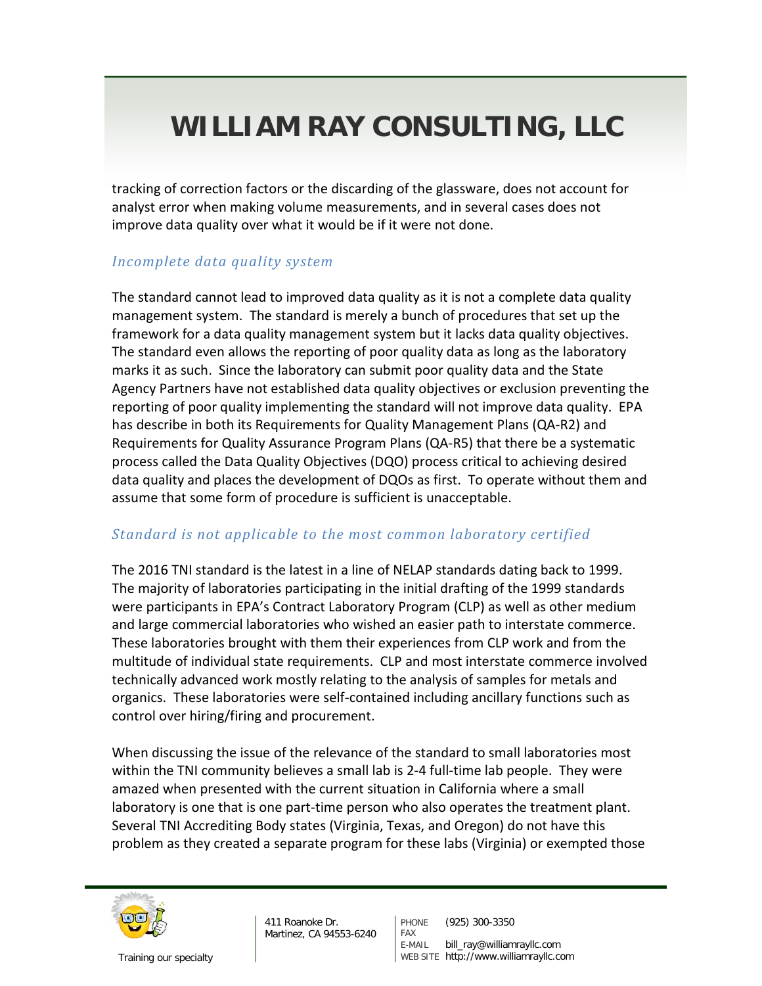tracking of correction factors or the discarding of the glassware, does not account for analyst error when making volume measurements, and in several cases does not improve data quality over what it would be if it were not done.

### *Incomplete data quality system*

The standard cannot lead to improved data quality as it is not a complete data quality management system. The standard is merely a bunch of procedures that set up the framework for a data quality management system but it lacks data quality objectives. The standard even allows the reporting of poor quality data as long as the laboratory marks it as such. Since the laboratory can submit poor quality data and the State Agency Partners have not established data quality objectives or exclusion preventing the reporting of poor quality implementing the standard will not improve data quality. EPA has describe in both its Requirements for Quality Management Plans (QA-R2) and Requirements for Quality Assurance Program Plans (QA-R5) that there be a systematic process called the Data Quality Objectives (DQO) process critical to achieving desired data quality and places the development of DQOs as first. To operate without them and assume that some form of procedure is sufficient is unacceptable.

### *Standard is not applicable to the most common laboratory certified*

The 2016 TNI standard is the latest in a line of NELAP standards dating back to 1999. The majority of laboratories participating in the initial drafting of the 1999 standards were participants in EPA's Contract Laboratory Program (CLP) as well as other medium and large commercial laboratories who wished an easier path to interstate commerce. These laboratories brought with them their experiences from CLP work and from the multitude of individual state requirements. CLP and most interstate commerce involved technically advanced work mostly relating to the analysis of samples for metals and organics. These laboratories were self-contained including ancillary functions such as control over hiring/firing and procurement.

When discussing the issue of the relevance of the standard to small laboratories most within the TNI community believes a small lab is 2-4 full-time lab people. They were amazed when presented with the current situation in California where a small laboratory is one that is one part-time person who also operates the treatment plant. Several TNI Accrediting Body states (Virginia, Texas, and Oregon) do not have this problem as they created a separate program for these labs (Virginia) or exempted those



411 Roanoke Dr. Martinez, CA 94553-6240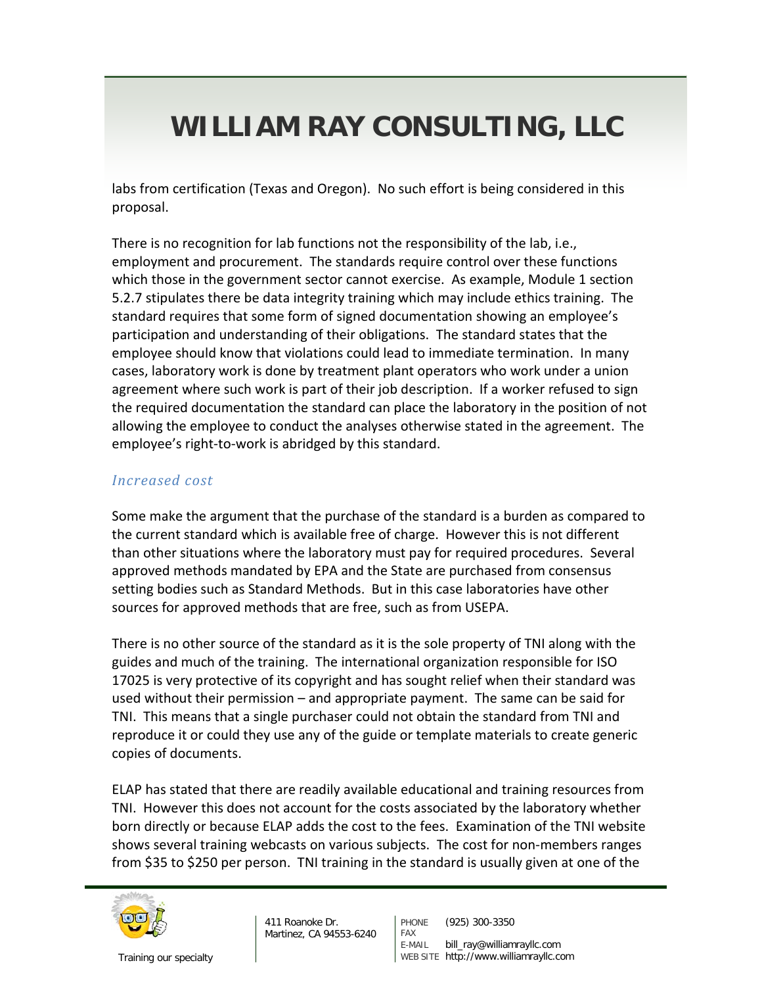labs from certification (Texas and Oregon). No such effort is being considered in this proposal.

There is no recognition for lab functions not the responsibility of the lab, i.e., employment and procurement. The standards require control over these functions which those in the government sector cannot exercise. As example, Module 1 section 5.2.7 stipulates there be data integrity training which may include ethics training. The standard requires that some form of signed documentation showing an employee's participation and understanding of their obligations. The standard states that the employee should know that violations could lead to immediate termination. In many cases, laboratory work is done by treatment plant operators who work under a union agreement where such work is part of their job description. If a worker refused to sign the required documentation the standard can place the laboratory in the position of not allowing the employee to conduct the analyses otherwise stated in the agreement. The employee's right-to-work is abridged by this standard.

### *Increased cost*

Some make the argument that the purchase of the standard is a burden as compared to the current standard which is available free of charge. However this is not different than other situations where the laboratory must pay for required procedures. Several approved methods mandated by EPA and the State are purchased from consensus setting bodies such as Standard Methods. But in this case laboratories have other sources for approved methods that are free, such as from USEPA.

There is no other source of the standard as it is the sole property of TNI along with the guides and much of the training. The international organization responsible for ISO 17025 is very protective of its copyright and has sought relief when their standard was used without their permission – and appropriate payment. The same can be said for TNI. This means that a single purchaser could not obtain the standard from TNI and reproduce it or could they use any of the guide or template materials to create generic copies of documents.

ELAP has stated that there are readily available educational and training resources from TNI. However this does not account for the costs associated by the laboratory whether born directly or because ELAP adds the cost to the fees. Examination of the TNI website shows several training webcasts on various subjects. The cost for non-members ranges from \$35 to \$250 per person. TNI training in the standard is usually given at one of the



411 Roanoke Dr. Martinez, CA 94553-6240